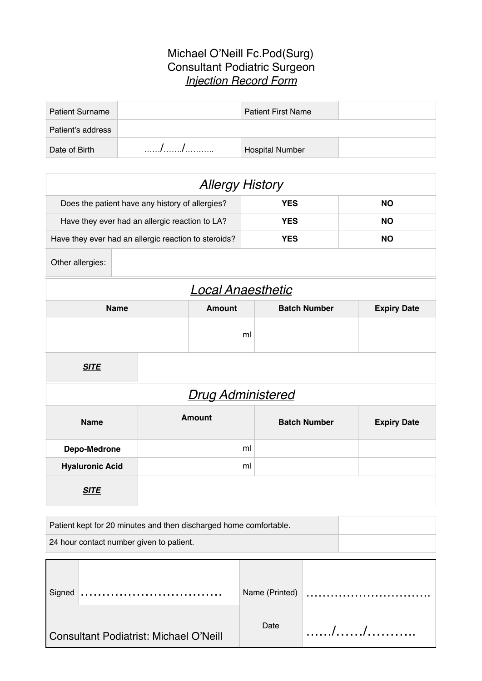## Michael O'Neill Fc.Pod(Surg) Consultant Podiatric Surgeon *Injection Record Form*

| <b>Patient Surname</b> | <b>Patient First Name</b> |  |
|------------------------|---------------------------|--|
| Patient's address      |                           |  |
| Date of Birth          | <b>Hospital Number</b>    |  |

| <b>Allergy History</b>                               |               |               |                     |                    |
|------------------------------------------------------|---------------|---------------|---------------------|--------------------|
| Does the patient have any history of allergies?      |               |               | <b>YES</b>          | <b>NO</b>          |
| Have they ever had an allergic reaction to LA?       |               |               | <b>YES</b>          | <b>NO</b>          |
| Have they ever had an allergic reaction to steroids? |               |               | <b>YES</b>          | <b>NO</b>          |
| Other allergies:                                     |               |               |                     |                    |
| <b>Local Anaesthetic</b>                             |               |               |                     |                    |
| <b>Name</b>                                          |               | <b>Amount</b> | <b>Batch Number</b> | <b>Expiry Date</b> |
|                                                      |               |               | ml                  |                    |
| <b>SITE</b>                                          |               |               |                     |                    |
| <b>Drug Administered</b>                             |               |               |                     |                    |
| <b>Name</b>                                          | <b>Amount</b> |               | <b>Batch Number</b> | <b>Expiry Date</b> |
| Depo-Medrone                                         |               |               | ml                  |                    |
| <b>Hyaluronic Acid</b>                               |               |               | ml                  |                    |
| <b>SITE</b>                                          |               |               |                     |                    |

| Patient kept for 20 minutes and then discharged home comfortable. |  |
|-------------------------------------------------------------------|--|
| 24 hour contact number given to patient.                          |  |

| Signed |                                        | Name (Printed) |  |
|--------|----------------------------------------|----------------|--|
|        | Consultant Podiatrist: Michael O'Neill | Date           |  |